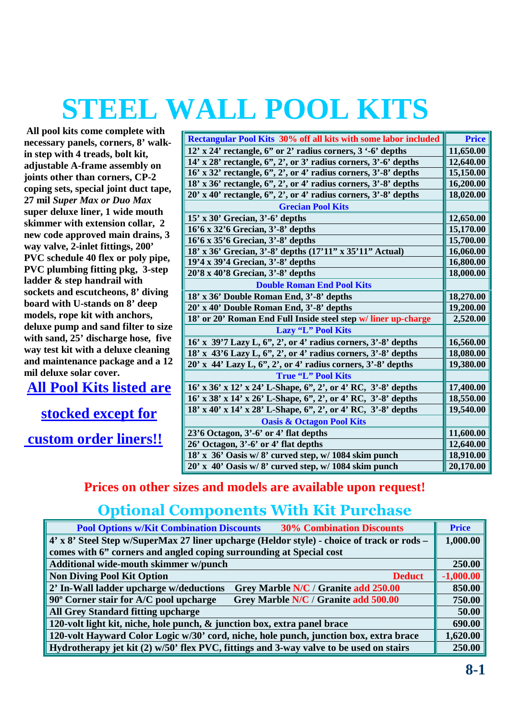## **STEEL WALL POOL KITS**

**All pool kits come complete with necessary panels, corners, 8' walkin step with 4 treads, bolt kit, adjustable A-frame assembly on joints other than corners, CP-2 coping sets, special joint duct tape, 27 mil** *Super Max or Duo Max* **super deluxe liner, 1 wide mouth skimmer with extension collar, 2 new code approved main drains, 3 way valve, 2-inlet fittings, 200' PVC schedule 40 flex or poly pipe, PVC plumbing fitting pkg, 3-step ladder & step handrail with sockets and escutcheons, 8' diving board with U-stands on 8' deep models, rope kit with anchors, deluxe pump and sand filter to size with sand, 25' discharge hose, five way test kit with a deluxe cleaning and maintenance package and a 12 mil deluxe solar cover.**

**All Pool Kits listed are**

**stocked except for**

**custom order liners!!**

| Rectangular Pool Kits 30% off all kits with some labor included          | <b>Price</b> |
|--------------------------------------------------------------------------|--------------|
| $12'$ x 24' rectangle, 6" or 2' radius corners, 3 '-6' depths            | 11,650.00    |
| 14' x 28' rectangle, 6", 2', or 3' radius corners, 3'-6' depths          | 12,640.00    |
| $16'$ x 32' rectangle, $6''$ , 2', or 4' radius corners, $3'$ -8' depths | 15,150.00    |
| 18' x 36' rectangle, 6", 2', or 4' radius corners, 3'-8' depths          | 16,200.00    |
| $20'$ x 40' rectangle, 6", 2', or 4' radius corners, $3'$ -8' depths     | 18,020.00    |
| <b>Grecian Pool Kits</b>                                                 |              |
| $15'$ x 30' Grecian, 3'-6' depths                                        | 12,650.00    |
| 16'6 x 32'6 Grecian, 3'-8' depths                                        | 15,170.00    |
| 16'6 x 35'6 Grecian, 3'-8' depths                                        | 15,700.00    |
| 18' x 36' Grecian, 3'-8' depths (17'11" x 35'11" Actual)                 | 16,060.00    |
| 19'4 x 39'4 Grecian, 3'-8' depths                                        | 16,800.00    |
| 20'8 x 40'8 Grecian, 3'-8' depths                                        | 18,000.00    |
| <b>Double Roman End Pool Kits</b>                                        |              |
| 18' x 36' Double Roman End, 3'-8' depths                                 | 18,270.00    |
| 20' x 40' Double Roman End, 3'-8' depths                                 | 19,200.00    |
| 18' or 20' Roman End Full Inside steel step w/ liner up-charge           | 2,520.00     |
| Lazy "L" Pool Kits                                                       |              |
| 16' x 39'7 Lazy L, 6", 2', or 4' radius corners, 3'-8' depths            | 16,560.00    |
| 18' x 43'6 Lazy L, 6", 2', or 4' radius corners, 3'-8' depths            | 18,080.00    |
| 20' x 44' Lazy L, 6", 2', or 4' radius corners, 3'-8' depths             | 19,380.00    |
| <b>True "L" Pool Kits</b>                                                |              |
| 16' x 36' x 12' x 24' L-Shape, 6", 2', or 4' RC, 3'-8' depths            | 17,400.00    |
| 16' x 38' x 14' x 26' L-Shape, 6", 2', or 4' RC, 3'-8' depths            | 18,550.00    |
| 18' x 40' x 14' x 28' L-Shape, 6", 2', or 4' RC, 3'-8' depths            | 19,540.00    |
| <b>Oasis &amp; Octagon Pool Kits</b>                                     |              |
| 23'6 Octagon, 3'-6' or 4' flat depths                                    | 11,600.00    |
| 26' Octagon, 3'-6' or 4' flat depths                                     | 12,640.00    |
| 18' x 36' Oasis w/8' curved step, w/1084 skim punch                      | 18,910.00    |
| 20' x 40' Oasis w/8' curved step, w/1084 skim punch                      | 20,170.00    |

### **Prices on other sizes and models are available upon request!**

## **Optional Components With Kit Purchase**

| <b>Pool Options w/Kit Combination Discounts</b><br><b>30% Combination Discounts</b>        | <b>Price</b> |
|--------------------------------------------------------------------------------------------|--------------|
| 4' x 8' Steel Step w/SuperMax 27 liner upcharge (Heldor style) - choice of track or rods – | 1,000.00     |
| comes with 6" corners and angled coping surrounding at Special cost                        |              |
| Additional wide-mouth skimmer w/punch                                                      | 250.00       |
| <b>Non Diving Pool Kit Option</b><br><b>Deduct</b>                                         | $-1,000.00$  |
| 2' In-Wall ladder upcharge w/deductions<br>Grey Marble N/C / Granite add 250.00            | 850.00       |
| 90° Corner stair for A/C pool upcharge<br>Grey Marble N/C / Granite add 500.00             | 750.00       |
| <b>All Grey Standard fitting upcharge</b>                                                  | 50.00        |
| 120-volt light kit, niche, hole punch, & junction box, extra panel brace                   |              |
| 120-volt Hayward Color Logic w/30' cord, niche, hole punch, junction box, extra brace      |              |
| Hydrotherapy jet kit (2) w/50' flex PVC, fittings and 3-way valve to be used on stairs     | 250.00       |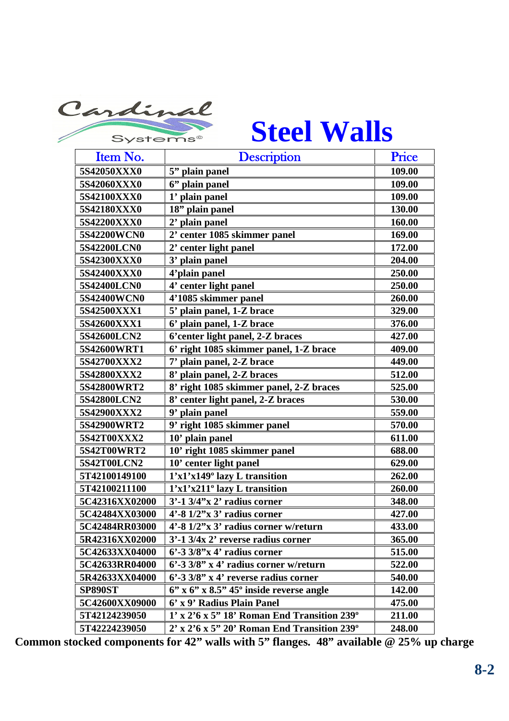



| Item No.       | <b>Description</b>                                          | <b>Price</b> |
|----------------|-------------------------------------------------------------|--------------|
| 5S42050XXX0    | 5" plain panel                                              | 109.00       |
| 5S42060XXX0    | 6" plain panel                                              | 109.00       |
| 5S42100XXX0    | 1' plain panel                                              | 109.00       |
| 5S42180XXX0    | 18" plain panel                                             | 130.00       |
| 5S42200XXX0    | 2' plain panel                                              | 160.00       |
| 5S42200WCN0    | 2' center 1085 skimmer panel                                | 169.00       |
| 5S42200LCN0    | 2' center light panel                                       | 172.00       |
| 5S42300XXX0    | 3' plain panel                                              | 204.00       |
| 5S42400XXX0    | 4'plain panel                                               | 250.00       |
| 5S42400LCN0    | 4' center light panel                                       | 250.00       |
| 5S42400WCN0    | 4'1085 skimmer panel                                        | 260.00       |
| 5S42500XXX1    | 5' plain panel, 1-Z brace                                   | 329.00       |
| 5S42600XXX1    | 6' plain panel, 1-Z brace                                   | 376.00       |
| 5S42600LCN2    | 6'center light panel, 2-Z braces                            | 427.00       |
| 5S42600WRT1    | 6' right 1085 skimmer panel, 1-Z brace                      | 409.00       |
| 5S42700XXX2    | 7' plain panel, 2-Z brace                                   | 449.00       |
| 5S42800XXX2    | 8' plain panel, 2-Z braces                                  | 512.00       |
| 5S42800WRT2    | 8' right 1085 skimmer panel, 2-Z braces                     | 525.00       |
| 5S42800LCN2    | 8' center light panel, 2-Z braces                           | 530.00       |
| 5S42900XXX2    | 9' plain panel                                              | 559.00       |
| 5S42900WRT2    | 9' right 1085 skimmer panel                                 | 570.00       |
| 5S42T00XXX2    | 10' plain panel                                             | 611.00       |
| 5S42T00WRT2    | 10' right 1085 skimmer panel                                | 688.00       |
| 5S42T00LCN2    | 10' center light panel                                      | 629.00       |
| 5T42100149100  | 1'x1'x149° lazy L transition                                | 262.00       |
| 5T42100211100  | 1'x1'x211° lazy L transition                                | 260.00       |
| 5C42316XX02000 | $3'-1$ $3/4''$ x $2'$ radius corner                         | 348.00       |
| 5C42484XX03000 | $4'$ -8 $1/2''$ x 3' radius corner                          | 427.00       |
| 5C42484RR03000 | $4'$ -8 $1/2''$ x 3' radius corner w/return                 | 433.00       |
| 5R42316XX02000 | $3'-1$ $3/4x$ $2'$ reverse radius corner                    | 365.00       |
| 5C42633XX04000 | $6'$ -3 $3/8''$ x 4' radius corner                          | 515.00       |
| 5C42633RR04000 | $6'$ -3 $3/8''$ x 4' radius corner w/return                 | 522.00       |
| 5R42633XX04000 | $6'$ -3 3/8" x 4' reverse radius corner                     | 540.00       |
| <b>SP890ST</b> | $6$ " x $6$ " x $8.5$ " $45$ " inside reverse angle         | 142.00       |
| 5C42600XX09000 | 6' x 9' Radius Plain Panel                                  | 475.00       |
| 5T42124239050  | $1'$ x $2'6$ x 5" 18' Roman End Transition 239°             | 211.00       |
| 5T42224239050  | $2'$ x $2'6$ x $5''$ $20'$ Roman End Transition $239^\circ$ | 248.00       |

**Common stocked components for 42" walls with 5" flanges. 48" available @ 25% up charge**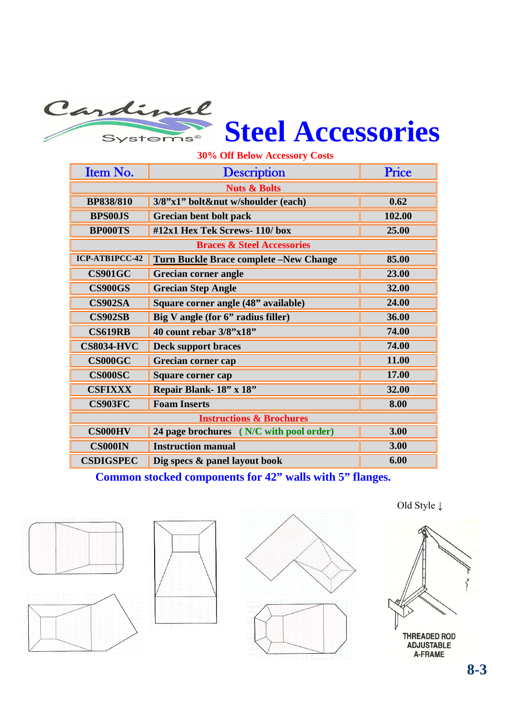

## **Steel Accessories**

#### **30% Off Below Accessory Costs**

| Item No.                | <b>Description</b>                            | Price  |  |  |
|-------------------------|-----------------------------------------------|--------|--|--|
| <b>Nuts &amp; Bolts</b> |                                               |        |  |  |
| <b>BP838/810</b>        | 3/8"x1" bolt&nut w/shoulder (each)            | 0.62   |  |  |
| <b>BPS00JS</b>          | Grecian bent bolt pack                        | 102.00 |  |  |
| <b>BP000TS</b>          | #12x1 Hex Tek Screws- 110/box                 | 25.00  |  |  |
|                         | <b>Braces &amp; Steel Accessories</b>         |        |  |  |
| ICP-ATB1PCC-42          | <b>Turn Buckle Brace complete -New Change</b> | 85.00  |  |  |
| <b>CS901GC</b>          | <b>Grecian corner angle</b>                   | 23.00  |  |  |
| <b>CS900GS</b>          | <b>Grecian Step Angle</b>                     | 32.00  |  |  |
| <b>CS902SA</b>          | Square corner angle (48" available)           | 24.00  |  |  |
| <b>CS902SB</b>          | Big V angle (for 6" radius filler)            | 36.00  |  |  |
| <b>CS619RB</b>          | 40 count rebar 3/8"x18"                       | 74.00  |  |  |
| <b>CS8034-HVC</b>       | <b>Deck support braces</b>                    | 74.00  |  |  |
| <b>CS000GC</b>          | Grecian corner cap                            | 11.00  |  |  |
| <b>CS000SC</b>          | Square corner cap                             | 17.00  |  |  |
| <b>CSFIXXX</b>          | Repair Blank- 18" x 18"                       | 32.00  |  |  |
| <b>CS903FC</b>          | <b>Foam Inserts</b>                           | 8.00   |  |  |
|                         | <b>Instructions &amp; Brochures</b>           |        |  |  |
| <b>CS000HV</b>          | 24 page brochures (N/C with pool order)       | 3.00   |  |  |
| <b>CS000IN</b>          | <b>Instruction manual</b>                     | 3.00   |  |  |
| <b>CSDIGSPEC</b>        | Dig specs & panel layout book                 | 6.00   |  |  |

**Common stocked components for 42" walls with 5" flanges.**









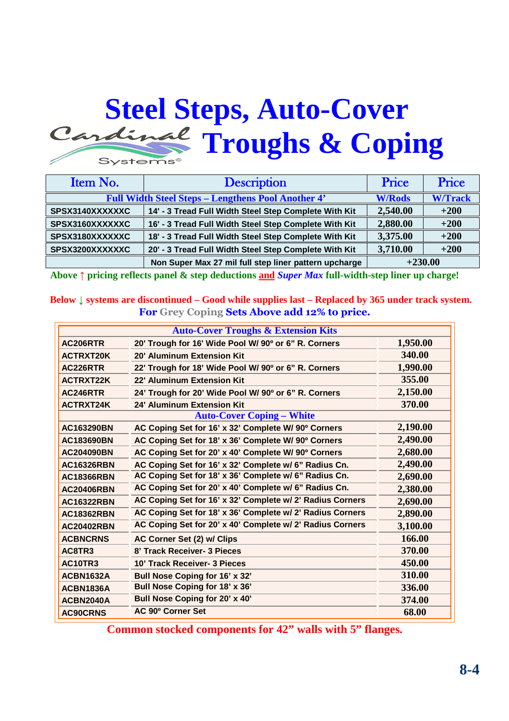# **Steel Steps, Auto-Cover** Cardinal Troughs & Coping

| Item No.        | <b>Description</b>                                        | Price         | Price          |
|-----------------|-----------------------------------------------------------|---------------|----------------|
|                 | <b>Full Width Steel Steps - Lengthens Pool Another 4'</b> | <b>W/Rods</b> | <b>W/Track</b> |
| SPSX3140XXXXXXC | 14' - 3 Tread Full Width Steel Step Complete With Kit     | 2,540.00      | $+200$         |
| SPSX3160XXXXXXC | 16' - 3 Tread Full Width Steel Step Complete With Kit     | 2,880.00      | $+200$         |
| SPSX3180XXXXXXC | 18' - 3 Tread Full Width Steel Step Complete With Kit     | 3,375.00      | $+200$         |
| SPSX3200XXXXXXC | 20' - 3 Tread Full Width Steel Step Complete With Kit     | 3,710.00      | $+200$         |
|                 | Non Super Max 27 mil full step liner pattern upcharge     | $+230.00$     |                |

**Above ↑ pricing reflects panel & step deductions and** *Super Max* **full-width-step liner up charge!**

#### **Below ↓ systems are discontinued – Good while supplies last – Replaced by 365 under track system. For Grey Coping Sets Above add 12% to price.**

| <b>Auto-Cover Troughs &amp; Extension Kits</b> |                                                           |          |
|------------------------------------------------|-----------------------------------------------------------|----------|
| AC206RTR                                       | 20' Trough for 16' Wide Pool W/ 90° or 6" R. Corners      | 1,950.00 |
| <b>ACTRXT20K</b>                               | 20' Aluminum Extension Kit                                | 340.00   |
| AC226RTR                                       | 22' Trough for 18' Wide Pool W/ 90° or 6" R. Corners      | 1,990.00 |
| <b>ACTRXT22K</b>                               | 22' Aluminum Extension Kit                                | 355.00   |
| AC246RTR                                       | 24' Trough for 20' Wide Pool W/ 90° or 6" R. Corners      | 2,150.00 |
| <b>ACTRXT24K</b>                               | <b>24' Aluminum Extension Kit</b>                         | 370.00   |
|                                                | <b>Auto-Cover Coping – White</b>                          |          |
| AC163290BN                                     | AC Coping Set for 16' x 32' Complete W/ 90° Corners       | 2,190.00 |
| AC183690BN                                     | AC Coping Set for 18' x 36' Complete W/ 90° Corners       | 2,490.00 |
| <b>AC204090BN</b>                              | AC Coping Set for 20' x 40' Complete W/ 90° Corners       | 2,680.00 |
| <b>AC16326RBN</b>                              | AC Coping Set for 16' x 32' Complete w/ 6" Radius Cn.     | 2,490.00 |
| <b>AC18366RBN</b>                              | AC Coping Set for 18' x 36' Complete w/ 6" Radius Cn.     | 2,690.00 |
| <b>AC20406RBN</b>                              | AC Coping Set for 20' x 40' Complete w/ 6" Radius Cn.     | 2,380.00 |
| <b>AC16322RBN</b>                              | AC Coping Set for 16' x 32' Complete w/ 2' Radius Corners | 2,690.00 |
| <b>AC18362RBN</b>                              | AC Coping Set for 18' x 36' Complete w/ 2' Radius Corners | 2,890.00 |
| <b>AC20402RBN</b>                              | AC Coping Set for 20' x 40' Complete w/ 2' Radius Corners | 3,100.00 |
| <b>ACBNCRNS</b>                                | AC Corner Set (2) w/ Clips                                | 166.00   |
| AC8TR3                                         | 8' Track Receiver- 3 Pieces                               | 370.00   |
| AC10TR3                                        | 10' Track Receiver- 3 Pieces                              | 450.00   |
| <b>ACBN1632A</b>                               | Bull Nose Coping for 16' x 32'                            | 310.00   |
| <b>ACBN1836A</b>                               | Bull Nose Coping for 18' x 36'                            | 336.00   |
| ACBN2040A                                      | Bull Nose Coping for 20' x 40'                            | 374.00   |
| <b>AC90CRNS</b>                                | AC 90° Corner Set                                         | 68.00    |

**Common stocked components for 42" walls with 5" flanges.**